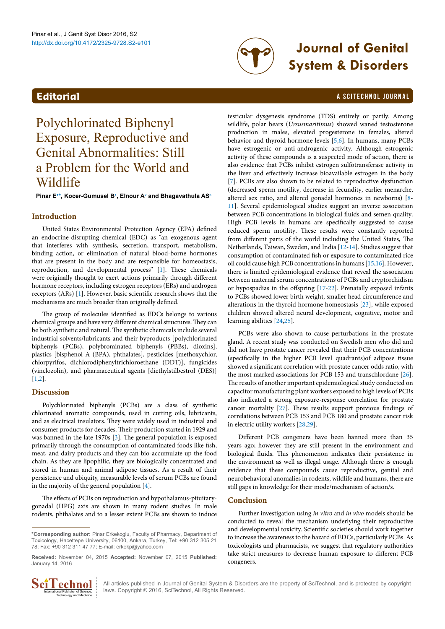# http://dx.doi.org/10.4172/2325-9728.S2-e101 **Journal of Genital System & Disorders**

# <span id="page-0-1"></span>**Editorial** a Scitechnol journal and the contract of the contract of the contract of the contract of the contract of the contract of the contract of the contract of the contract of the contract of the contract of the contr

# Polychlorinated Biphenyl Exposure, Reproductive and Genital Abnormalities: Still a Problem for the World and Wildlife

**Pinar E[1](#page-1-0) [\\*](#page-0-0), Kocer-Gumusel [B1](#page-1-0) , Elnour A[2](#page-1-1) and Bhagavathula A[S3](#page-1-2)**

# **Introduction**

United States Environmental Protection Agency (EPA) defined an endocrine-disrupting chemical (EDC) as "an exogenous agent that interferes with synthesis, secretion, transport, metabolism, binding action, or elimination of natural blood-borne hormones that are present in the body and are responsible for homeostasis, reproduction, and developmental process" [[1\]](#page-1-21). These chemicals were originally thought to exert actions primarily through different hormone receptors, including estrogen receptors (ERs) and androgen receptors (ARs) [\[1\]](#page-1-21). However, basic scientific research shows that the mechanisms are much broader than originally defined.

The group of molecules identified as EDCs belongs to various chemical groups and have very different chemical structures. They can be both synthetic and natural. The synthetic chemicals include several industrial solvents/lubricants and their byproducts [polychlorinated biphenyls (PCBs), polybrominated biphenyls (PBBs), dioxins], plastics [bisphenol A (BPA), phthalates], pesticides [methoxychlor, chlorpyrifos, dichlorodiphenyltrichloroethane (DDT)], fungicides (vinclozolin), and pharmaceutical agents [diethylstilbestrol (DES)] [[1](#page-1-21)[,2](#page-1-22)].

# **Discussion**

Polychlorinated biphenyls (PCBs) are a class of synthetic chlorinated aromatic compounds, used in cutting oils, lubricants, and as electrical insulators. They were widely used in industrial and consumer products for decades. Their production started in 1929 and was banned in the late 1970s [\[3\]](#page-1-23). The general population is exposed primarily through the consumption of contaminated foods like fish, meat, and dairy products and they can bio-accumulate up the food chain. As they are lipophilic, they are biologically concentrated and stored in human and animal adipose tissues. As a result of their persistence and ubiquity, measurable levels of serum PCBs are found in the majority of the general population [[4\]](#page-1-24).

The effects of PCBs on reproduction and hypothalamus-pituitarygonadal (HPG) axis are shown in many rodent studies. In male rodents, phthalates and to a lesser extent PCBs are shown to induce

**Received:** November 04, 2015 **Accepted:** November 07, 2015 **Published:** January 14, 2016



All articles published in Journal of Genital System & Disorders are the property of SciTechnol, and is protected by copyright **COMBOLE ALL** All articles published in Journal of Genital System & Diso<br>  $\frac{1}{\text{Total Publisher of Science}}$  : laws. Copyright © 2016, SciTechnol, All Rights Reserved.

testicular dysgenesis syndrome (TDS) entirely or partly. Among wildlife, polar bears (*Ursusmaritimus*) showed waned testosterone production in males, elevated progesterone in females, altered behavior and thyroid hormone levels [[5](#page-1-3)[,6](#page-1-4)]. In humans, many PCBs have estrogenic or anti-androgenic activity. Although estrogenic activity of these compounds is a suspected mode of action, there is also evidence that PCBs inhibit estrogen sulfotransferase activity in the liver and effectively increase bioavailable estrogen in the body [[7](#page-1-5)]. PCBs are also shown to be related to reproductive dysfunction (decreased sperm motility, decrease in fecundity, earlier menarche, altered sex ratio, and altered gonadal hormones in newborns) [\[8-](#page-1-6) [11](#page-1-7)]. Several epidemiological studies suggest an inverse association between PCB concentrations in biological fluids and semen quality. High PCB levels in humans are specifically suggested to cause reduced sperm motility. These results were constantly reported from different parts of the world including the United States, The Netherlands, Taiwan, Sweden, and India [[12-](#page-1-8)[14](#page-1-9)]. Studies suggest that consumption of contaminated fish or exposure to contaminated rice oil could cause high PCB concentrations in humans [[15,](#page-1-10)[16](#page-1-11)]. However, there is limited epidemiological evidence that reveal the association between maternal serum concentrations of PCBs and cryptorchidism or hypospadias in the offspring [\[17-](#page-1-12)[22\]](#page-1-13). Prenatally exposed infants to PCBs showed lower birth weight, smaller head circumference and alterations in the thyroid hormone homeostasis [[23\]](#page-1-14), while exposed children showed altered neural development, cognitive, motor and learning abilities [[24](#page-1-15)[,25](#page-1-16)].

PCBs were also shown to cause perturbations in the prostate gland. A recent study was conducted on Swedish men who did and did not have prostate cancer revealed that their PCB concentrations (specifically in the higher PCB level quadrants)of adipose tissue showed a significant correlation with prostate cancer odds ratio, with the most marked associations for PCB 153 and transchlordane [[26\]](#page-1-17). The results of another important epidemiological study conducted on capacitor manufacturing plant workers exposed to high levels of PCBs also indicated a strong exposure-response correlation for prostate cancer mortality [[27](#page-1-18)]. These results support previous findings of correlations between PCB 153 and PCB 180 and prostate cancer risk in electric utility workers [[28,](#page-1-19)[29](#page-1-20)].

Different PCB congeners have been banned more than 35 years ago; however they are still present in the environment and biological fluids. This phenomenon indicates their persistence in the environment as well as illegal usage. Although there is enough evidence that these compounds cause reproductive, genital and neurobehavioral anomalies in rodents, wildlife and humans, there are still gaps in knowledge for their mode/mechanism of action/s.

### **Conclusion**

Further investigation using *in vitro* and *in vivo* models should be conducted to reveal the mechanism underlying their reproductive and developmental toxicity. Scientific societies should work together to increase the awareness to the hazard of EDCs, particularly PCBs. As toxicologists and pharmacists, we suggest that regulatory authorities take strict measures to decrease human exposure to different PCB congeners.

<span id="page-0-0"></span>**<sup>\*</sup>Corresponding author:** Pinar Erkekoglu, Faculty of Pharmacy, Department of Toxicology, Hacettepe University, 06100, Ankara, Turkey, Tel: +90 312 305 21 78; Fax: +90 312 311 47 77; E-mail: [erkekp@yahoo.com](mailto:erkekp@yahoo.com)